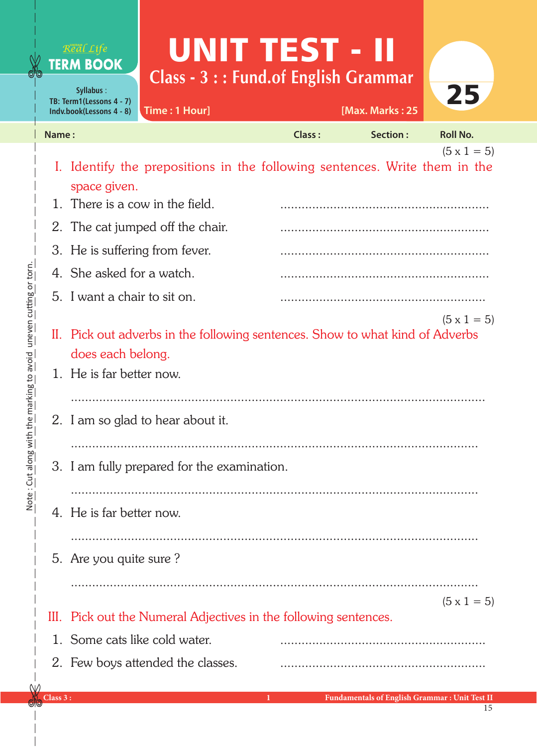## UNIT TEST - II Real Life **TERM BOOK Class - 3 : : Fund.of English Grammar** 25 **Syllabus** : **TB: Term1(Lessons 4 - 7) Time : 1 Hour] [Max. Marks : 25 Indv.book(Lessons 4 - 8) Name : Class : Section : Roll No.**   $(5 \times 1 = 5)$ I. Identify the prepositions in the following sentences. Write them in the space given. 1. There is a cow in the field.

II. Pick out adverbs in the following sentences. Show to what kind of Adverbs does each belong. III. Pick out the Numeral Adjectives in the following sentences.  $(5 \times 1 = 5)$  $(5 \times 1 = 5)$ 2. The cat jumped off the chair. ........................................................... 3. He is suffering from fever. 4. She asked for a watch. 5. I want a chair to sit on. 1. He is far better now. ..................................................................................................................... 2. I am so glad to hear about it. ................................................................................................................... 3. I am fully prepared for the examination. ................................................................................................................... 4. He is far better now. 5. Are you quite sure ? ................................................................................................................... 1. Some cats like cold water. 2. Few boys attended the classes. ..........................................................